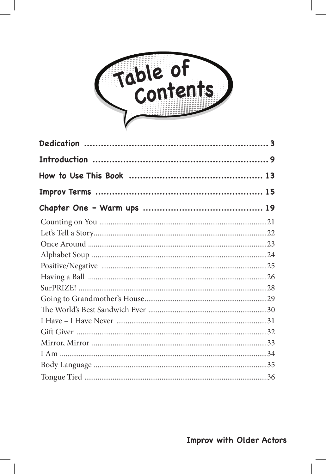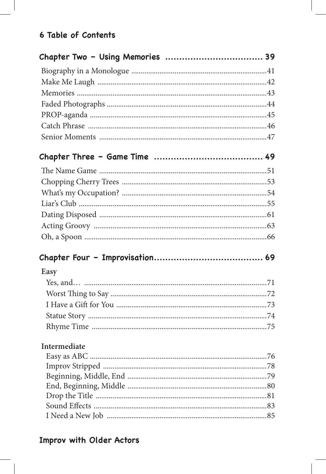### 6 Table of Contents

| Easy         |    |
|--------------|----|
|              |    |
|              |    |
|              |    |
|              |    |
|              |    |
| Intermediate |    |
|              | 76 |
|              |    |
|              |    |
|              |    |
|              |    |
|              |    |
|              |    |

# Improv with Older Actors